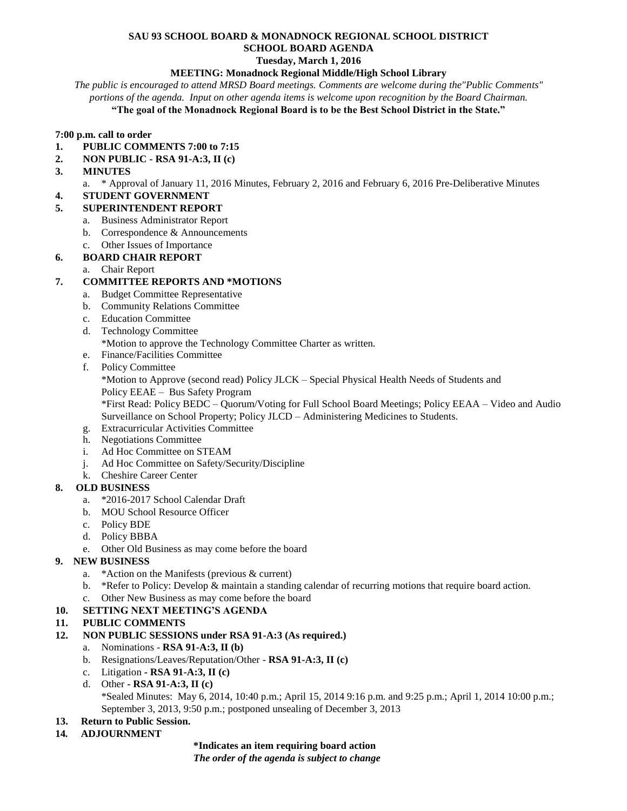## **SAU 93 SCHOOL BOARD & MONADNOCK REGIONAL SCHOOL DISTRICT SCHOOL BOARD AGENDA**

**Tuesday, March 1, 2016**

#### **MEETING: Monadnock Regional Middle/High School Library**

*The public is encouraged to attend MRSD Board meetings. Comments are welcome during the"Public Comments" portions of the agenda. Input on other agenda items is welcome upon recognition by the Board Chairman.* **"The goal of the Monadnock Regional Board is to be the Best School District in the State."**

# **7:00 p.m. call to order**

- **1. PUBLIC COMMENTS 7:00 to 7:15**
- **2. NON PUBLIC - RSA 91-A:3, II (c)**
- **3. MINUTES** 
	- a. \* Approval of January 11, 2016 Minutes, February 2, 2016 and February 6, 2016 Pre-Deliberative Minutes
- **4. STUDENT GOVERNMENT**

#### **5. SUPERINTENDENT REPORT**

- a. Business Administrator Report
- b. Correspondence & Announcements
- c. Other Issues of Importance

#### **6. BOARD CHAIR REPORT**

a. Chair Report

#### **7. COMMITTEE REPORTS AND \*MOTIONS**

- a. Budget Committee Representative
- b. Community Relations Committee
- c. Education Committee
- d. Technology Committee
	- \*Motion to approve the Technology Committee Charter as written.
- e. Finance/Facilities Committee
- f. Policy Committee

\*Motion to Approve (second read) Policy JLCK – Special Physical Health Needs of Students and Policy EEAE – Bus Safety Program

\*First Read: Policy BEDC – Quorum/Voting for Full School Board Meetings; Policy EEAA – Video and Audio Surveillance on School Property; Policy JLCD – Administering Medicines to Students.

- g. Extracurricular Activities Committee
- h. Negotiations Committee
- i. Ad Hoc Committee on STEAM
- j. Ad Hoc Committee on Safety/Security/Discipline
- k. Cheshire Career Center

### **8. OLD BUSINESS**

- a. \*2016-2017 School Calendar Draft
- b. MOU School Resource Officer
- c. Policy BDE
- d. Policy BBBA
- e. Other Old Business as may come before the board

### **9. NEW BUSINESS**

- a. \*Action on the Manifests (previous & current)
- b. \*Refer to Policy: Develop & maintain a standing calendar of recurring motions that require board action.
- c. Other New Business as may come before the board

### **10. SETTING NEXT MEETING'S AGENDA**

- **11. PUBLIC COMMENTS**
- **12. NON PUBLIC SESSIONS under RSA 91-A:3 (As required.)**
	- a. Nominations **RSA 91-A:3, II (b)**
	- b. Resignations/Leaves/Reputation/Other **RSA 91-A:3, II (c)**
	- c. Litigation **- RSA 91-A:3, II (c)**
	- d. Other **- RSA 91-A:3, II (c)** \*Sealed Minutes: May 6, 2014, 10:40 p.m.; April 15, 2014 9:16 p.m. and 9:25 p.m.; April 1, 2014 10:00 p.m.; September 3, 2013, 9:50 p.m.; postponed unsealing of December 3, 2013

### **13. Return to Public Session.**

**14***.* **ADJOURNMENT**

**\*Indicates an item requiring board action** *The order of the agenda is subject to change*